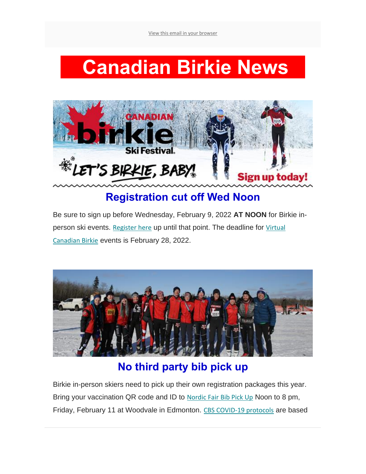# **Canadian Birkie News**



# **Registration cut off Wed Noon**

Be sure to sign up before Wednesday, February 9, 2022 **AT NOON** for Birkie in-person ski events. [Register here](https://canadianbirkie.us14.list-manage.com/track/click?u=9a8b615d3eff76095a3ebc006&id=4fe8990c31&e=021de336c7) up until that point. The deadline for Virtual [Canadian Birkie](https://canadianbirkie.us14.list-manage.com/track/click?u=9a8b615d3eff76095a3ebc006&id=36f1c7d669&e=021de336c7) events is February 28, 2022.



# **No third party bib pick up**

Birkie in-person skiers need to pick up their own registration packages this year. Bring your vaccination QR code and ID to Nordic Fair [Bib Pick Up](https://canadianbirkie.us14.list-manage.com/track/click?u=9a8b615d3eff76095a3ebc006&id=22370b0356&e=021de336c7) Noon to 8 pm, Friday, February 11 at Woodvale in Edmonton. [CBS COVID-19 protocols](https://canadianbirkie.us14.list-manage.com/track/click?u=9a8b615d3eff76095a3ebc006&id=f5778dcb81&e=021de336c7) are based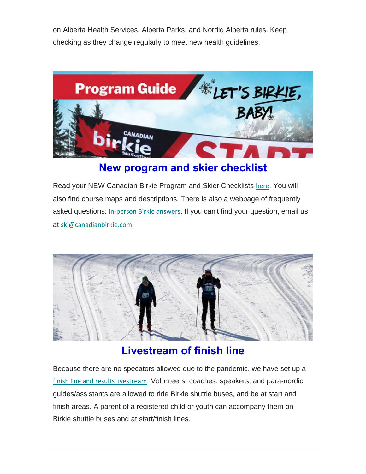on Alberta Health Services, Alberta Parks, and Nordiq Alberta rules. Keep checking as they change regularly to meet new health guidelines.



### **New program and skier checklist**

Read your NEW Canadian Birkie Program and Skier Checklists [here](https://canadianbirkie.us14.list-manage.com/track/click?u=9a8b615d3eff76095a3ebc006&id=1a5fddc707&e=021de336c7). You will also find course maps and descriptions. There is also a webpage of frequently asked questions: [in-person Birkie answers](https://canadianbirkie.us14.list-manage.com/track/click?u=9a8b615d3eff76095a3ebc006&id=be7d17abe0&e=021de336c7). If you can't find your question, email us at [ski@canadianbirkie.com](mailto:ski@canadianbirkie.com).



### **Livestream of finish line**

Because there are no specators allowed due to the pandemic, we have set up a [finish line and results livestream](https://canadianbirkie.us14.list-manage.com/track/click?u=9a8b615d3eff76095a3ebc006&id=77500839f7&e=021de336c7). Volunteers, coaches, speakers, and para-nordic guides/assistants are allowed to ride Birkie shuttle buses, and be at start and finish areas. A parent of a registered child or youth can accompany them on Birkie shuttle buses and at start/finish lines.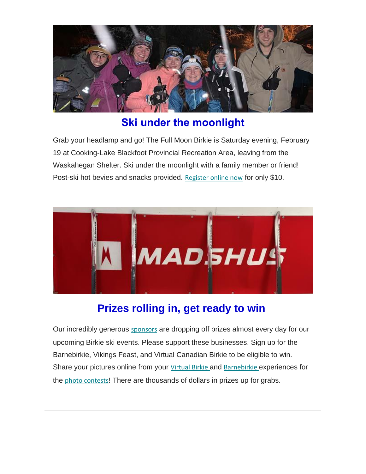

## **Ski under the moonlight**

Grab your headlamp and go! The Full Moon Birkie is Saturday evening, February 19 at Cooking-Lake Blackfoot Provincial Recreation Area, leaving from the Waskahegan Shelter. Ski under the moonlight with a family member or friend! Post-ski hot bevies and snacks provided. [Register online now](https://canadianbirkie.us14.list-manage.com/track/click?u=9a8b615d3eff76095a3ebc006&id=16160dc4e5&e=021de336c7) for only \$10.



# **Prizes rolling in, get ready to win**

Our incredibly generous [sponsors](https://canadianbirkie.us14.list-manage.com/track/click?u=9a8b615d3eff76095a3ebc006&id=bbbcf71d56&e=021de336c7) are dropping off prizes almost every day for our upcoming Birkie ski events. Please support these businesses. Sign up for the Barnebirkie, Vikings Feast, and Virtual Canadian Birkie to be eligible to win. Share your pictures online from your [Virtual Birkie](https://canadianbirkie.us14.list-manage.com/track/click?u=9a8b615d3eff76095a3ebc006&id=8996db7dc6&e=021de336c7) and [Barnebirkie](https://canadianbirkie.us14.list-manage.com/track/click?u=9a8b615d3eff76095a3ebc006&id=73a535289d&e=021de336c7) experiences for the [photo contests](https://canadianbirkie.us14.list-manage.com/track/click?u=9a8b615d3eff76095a3ebc006&id=a761b20e8c&e=021de336c7)! There are thousands of dollars in prizes up for grabs.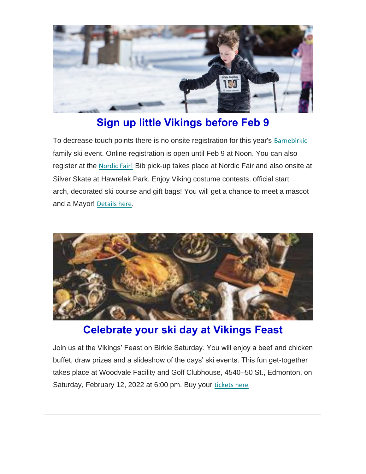

# **Sign up little Vikings before Feb 9**

To decrease touch points there is no onsite registration for this year's [Barnebirkie](https://canadianbirkie.us14.list-manage.com/track/click?u=9a8b615d3eff76095a3ebc006&id=fd9dc694f2&e=021de336c7)  family ski event. Online registration is open until Feb 9 at Noon. You can also register at the [Nordic Fair!](https://canadianbirkie.us14.list-manage.com/track/click?u=9a8b615d3eff76095a3ebc006&id=877b7cc4f7&e=021de336c7) Bib pick-up takes place at Nordic Fair and also onsite at Silver Skate at Hawrelak Park. Enjoy Viking costume contests, official start arch, decorated ski course and gift bags! You will get a chance to meet a mascot and a Mayor! [Details here](https://canadianbirkie.us14.list-manage.com/track/click?u=9a8b615d3eff76095a3ebc006&id=3498407378&e=021de336c7).



### **Celebrate your ski day at Vikings Feast**

Join us at the Vikings' Feast on Birkie Saturday. You will enjoy a beef and chicken buffet, draw prizes and a slideshow of the days' ski events. This fun get-together takes place at Woodvale Facility and Golf Clubhouse, 4540–50 St., Edmonton, on Saturday, February 12, 2022 at 6:00 pm. Buy your [tickets here](https://canadianbirkie.us14.list-manage.com/track/click?u=9a8b615d3eff76095a3ebc006&id=705ce4f3af&e=021de336c7)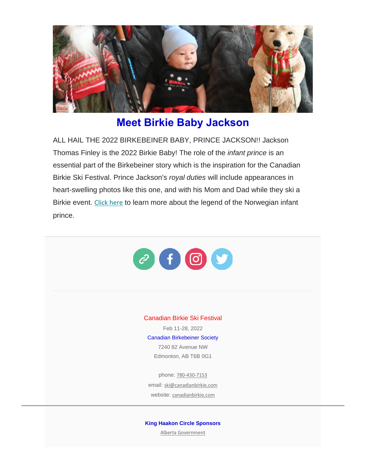

### **Meet Birkie Baby Jackson**

ALL HAIL THE 2022 BIRKEBEINER BABY, PRINCE JACKSON!! Jackson Thomas Finley is the 2022 Birkie Baby! The role of the *infant prince* is an essential part of the Birkebeiner story which is the inspiration for the Canadian Birkie Ski Festival. Prince Jackson's *royal duties* will include appearances in heart-swelling photos like this one, and with his Mom and Dad while they ski a Birkie event. [Click here](https://canadianbirkie.us14.list-manage.com/track/click?u=9a8b615d3eff76095a3ebc006&id=0fa5c153ec&e=021de336c7) to learn more about the legend of the Norwegian infant prince.



[Alberta Government](https://canadianbirkie.us14.list-manage.com/track/click?u=9a8b615d3eff76095a3ebc006&id=959c995e8c&e=021de336c7)